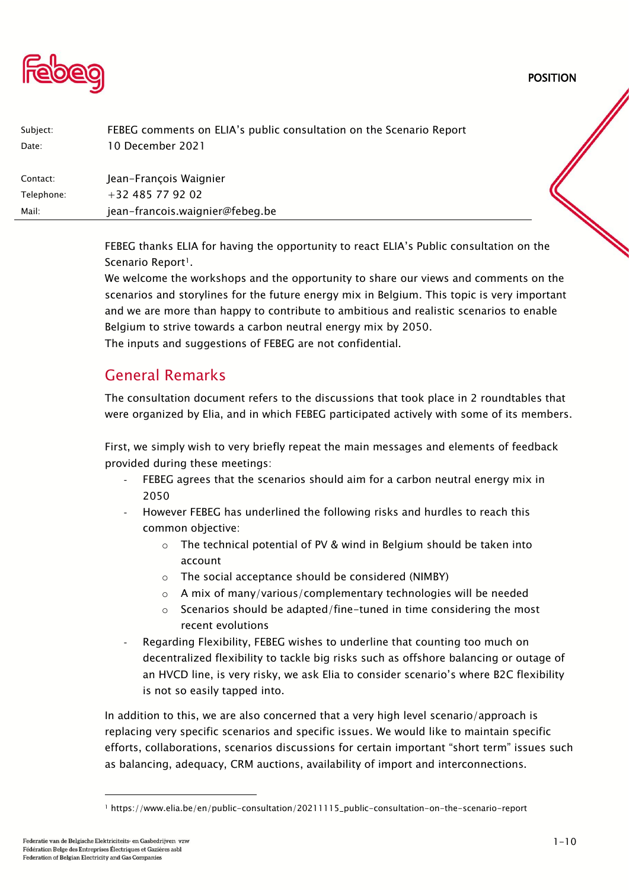POSITION



| Subject:   | FEBEG comments on ELIA's public consultation on the Scenario Report |  |
|------------|---------------------------------------------------------------------|--|
| Date:      | 10 December 2021                                                    |  |
| Contact:   | Jean-François Waignier                                              |  |
| Telephone: | +32 485 77 92 02                                                    |  |
| Mail:      | jean-francois.waignier@febeg.be                                     |  |
|            |                                                                     |  |

FEBEG thanks ELIA for having the opportunity to react ELIA's Public consultation on the Scenario Report<sup>1</sup>.

We welcome the workshops and the opportunity to share our views and comments on the scenarios and storylines for the future energy mix in Belgium. This topic is very important and we are more than happy to contribute to ambitious and realistic scenarios to enable Belgium to strive towards a carbon neutral energy mix by 2050. The inputs and suggestions of FEBEG are not confidential.

# General Remarks

The consultation document refers to the discussions that took place in 2 roundtables that were organized by Elia, and in which FEBEG participated actively with some of its members.

First, we simply wish to very briefly repeat the main messages and elements of feedback provided during these meetings:

- FEBEG agrees that the scenarios should aim for a carbon neutral energy mix in 2050
- However FEBEG has underlined the following risks and hurdles to reach this common objective:
	- o The technical potential of PV & wind in Belgium should be taken into account
	- o The social acceptance should be considered (NIMBY)
	- o A mix of many/various/complementary technologies will be needed
	- o Scenarios should be adapted/fine-tuned in time considering the most recent evolutions
- Regarding Flexibility, FEBEG wishes to underline that counting too much on decentralized flexibility to tackle big risks such as offshore balancing or outage of an HVCD line, is very risky, we ask Elia to consider scenario's where B2C flexibility is not so easily tapped into.

In addition to this, we are also concerned that a very high level scenario/approach is replacing very specific scenarios and specific issues. We would like to maintain specific efforts, collaborations, scenarios discussions for certain important "short term" issues such as balancing, adequacy, CRM auctions, availability of import and interconnections.

<sup>1</sup> https://www.elia.be/en/public-consultation/20211115\_public-consultation-on-the-scenario-report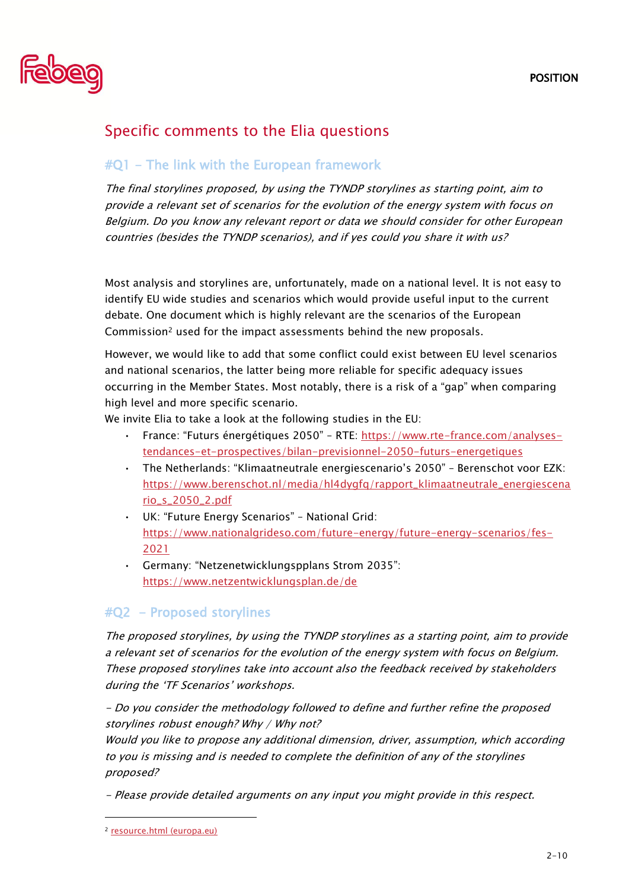

# Specific comments to the Elia questions

#### #Q1 - The link with the European framework

The final storylines proposed, by using the TYNDP storylines as starting point, aim to provide a relevant set of scenarios for the evolution of the energy system with focus on Belgium. Do you know any relevant report or data we should consider for other European countries (besides the TYNDP scenarios), and if yes could you share it with us?

Most analysis and storylines are, unfortunately, made on a national level. It is not easy to identify EU wide studies and scenarios which would provide useful input to the current debate. One document which is highly relevant are the scenarios of the European Commission<sup>2</sup> used for the impact assessments behind the new proposals.

However, we would like to add that some conflict could exist between EU level scenarios and national scenarios, the latter being more reliable for specific adequacy issues occurring in the Member States. Most notably, there is a risk of a "gap" when comparing high level and more specific scenario.

We invite Elia to take a look at the following studies in the EU:

- France: "Futurs énergétiques 2050" RTE: [https://www.rte-france.com/analyses](https://www.rte-france.com/analyses-tendances-et-prospectives/bilan-previsionnel-2050-futurs-energetiques)[tendances-et-prospectives/bilan-previsionnel-2050-futurs-energetiques](https://www.rte-france.com/analyses-tendances-et-prospectives/bilan-previsionnel-2050-futurs-energetiques)
- The Netherlands: "Klimaatneutrale energiescenario's 2050" Berenschot voor EZK: [https://www.berenschot.nl/media/hl4dygfq/rapport\\_klimaatneutrale\\_energiescena](https://www.berenschot.nl/media/hl4dygfq/rapport_klimaatneutrale_energiescenario_s_2050_2.pdf) [rio\\_s\\_2050\\_2.pdf](https://www.berenschot.nl/media/hl4dygfq/rapport_klimaatneutrale_energiescenario_s_2050_2.pdf)
- UK: "Future Energy Scenarios" National Grid: [https://www.nationalgrideso.com/future-energy/future-energy-scenarios/fes-](https://www.nationalgrideso.com/future-energy/future-energy-scenarios/fes-2021)[2021](https://www.nationalgrideso.com/future-energy/future-energy-scenarios/fes-2021)
- Germany: "Netzenetwicklungspplans Strom 2035": <https://www.netzentwicklungsplan.de/de>

## #Q2 - Proposed storylines

The proposed storylines, by using the TYNDP storylines as a starting point, aim to provide a relevant set of scenarios for the evolution of the energy system with focus on Belgium. These proposed storylines take into account also the feedback received by stakeholders during the 'TF Scenarios' workshops.

- Do you consider the methodology followed to define and further refine the proposed storylines robust enough? Why / Why not?

Would you like to propose any additional dimension, driver, assumption, which according to you is missing and is needed to complete the definition of any of the storylines proposed?

- Please provide detailed arguments on any input you might provide in this respect.

<sup>2</sup> [resource.html \(europa.eu\)](https://eur-lex.europa.eu/resource.html?uri=cellar:749e04bb-f8c5-11ea-991b-01aa75ed71a1.0001.02/DOC_2&format=PDF)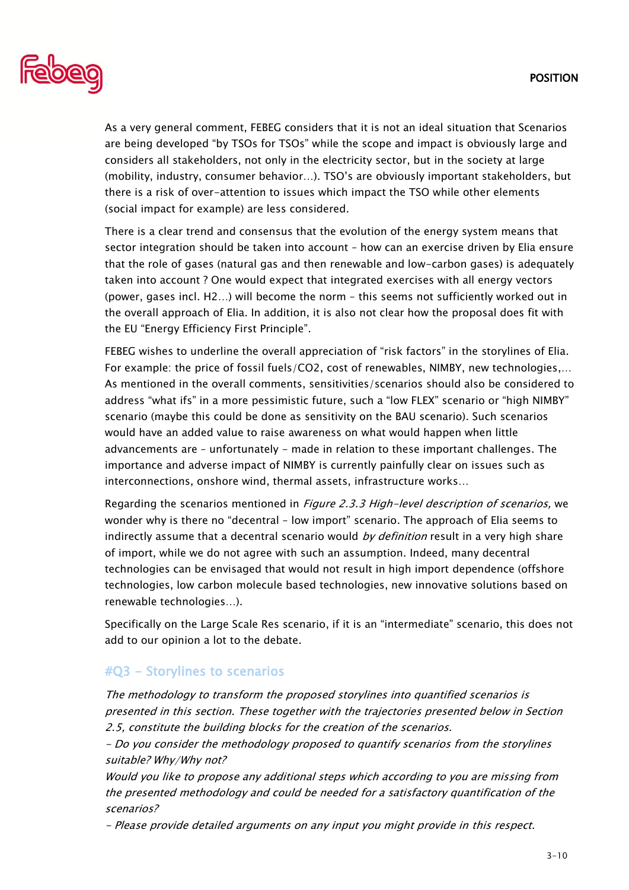

As a very general comment, FEBEG considers that it is not an ideal situation that Scenarios are being developed "by TSOs for TSOs" while the scope and impact is obviously large and considers all stakeholders, not only in the electricity sector, but in the society at large (mobility, industry, consumer behavior…). TSO's are obviously important stakeholders, but there is a risk of over-attention to issues which impact the TSO while other elements (social impact for example) are less considered.

There is a clear trend and consensus that the evolution of the energy system means that sector integration should be taken into account – how can an exercise driven by Elia ensure that the role of gases (natural gas and then renewable and low-carbon gases) is adequately taken into account ? One would expect that integrated exercises with all energy vectors (power, gases incl. H2…) will become the norm – this seems not sufficiently worked out in the overall approach of Elia. In addition, it is also not clear how the proposal does fit with the EU "Energy Efficiency First Principle".

FEBEG wishes to underline the overall appreciation of "risk factors" in the storylines of Elia. For example: the price of fossil fuels/CO2, cost of renewables, NIMBY, new technologies,… As mentioned in the overall comments, sensitivities/scenarios should also be considered to address "what ifs" in a more pessimistic future, such a "low FLEX" scenario or "high NIMBY" scenario (maybe this could be done as sensitivity on the BAU scenario). Such scenarios would have an added value to raise awareness on what would happen when little advancements are – unfortunately - made in relation to these important challenges. The importance and adverse impact of NIMBY is currently painfully clear on issues such as interconnections, onshore wind, thermal assets, infrastructure works…

Regarding the scenarios mentioned in *Figure 2.3.3 High-level description of scenarios*, we wonder why is there no "decentral – low import" scenario. The approach of Elia seems to indirectly assume that a decentral scenario would *by definition* result in a very high share of import, while we do not agree with such an assumption. Indeed, many decentral technologies can be envisaged that would not result in high import dependence (offshore technologies, low carbon molecule based technologies, new innovative solutions based on renewable technologies…).

Specifically on the Large Scale Res scenario, if it is an "intermediate" scenario, this does not add to our opinion a lot to the debate.

## #Q3 - Storylines to scenarios

The methodology to transform the proposed storylines into quantified scenarios is presented in this section. These together with the trajectories presented below in Section 2.5, constitute the building blocks for the creation of the scenarios.

- Do you consider the methodology proposed to quantify scenarios from the storylines suitable? Why/Why not?

Would you like to propose any additional steps which according to you are missing from the presented methodology and could be needed for a satisfactory quantification of the scenarios?

- Please provide detailed arguments on any input you might provide in this respect.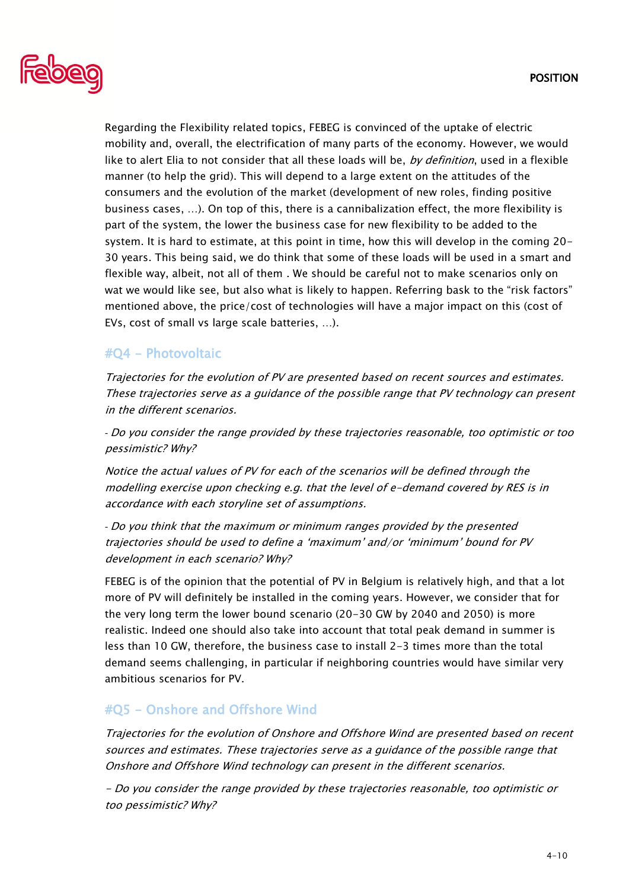

Regarding the Flexibility related topics, FEBEG is convinced of the uptake of electric mobility and, overall, the electrification of many parts of the economy. However, we would like to alert Elia to not consider that all these loads will be, by definition, used in a flexible manner (to help the grid). This will depend to a large extent on the attitudes of the consumers and the evolution of the market (development of new roles, finding positive business cases, …). On top of this, there is a cannibalization effect, the more flexibility is part of the system, the lower the business case for new flexibility to be added to the system. It is hard to estimate, at this point in time, how this will develop in the coming 20- 30 years. This being said, we do think that some of these loads will be used in a smart and flexible way, albeit, not all of them . We should be careful not to make scenarios only on wat we would like see, but also what is likely to happen. Referring bask to the "risk factors" mentioned above, the price/cost of technologies will have a major impact on this (cost of EVs, cost of small vs large scale batteries, …).

#### #Q4 - Photovoltaic

Trajectories for the evolution of PV are presented based on recent sources and estimates. These trajectories serve as a guidance of the possible range that PV technology can present in the different scenarios.

*-* Do you consider the range provided by these trajectories reasonable, too optimistic or too pessimistic? Why?

Notice the actual values of PV for each of the scenarios will be defined through the modelling exercise upon checking e.g. that the level of e-demand covered by RES is in accordance with each storyline set of assumptions.

*-* Do you think that the maximum or minimum ranges provided by the presented trajectories should be used to define a 'maximum' and/or 'minimum' bound for PV development in each scenario? Why?

FEBEG is of the opinion that the potential of PV in Belgium is relatively high, and that a lot more of PV will definitely be installed in the coming years. However, we consider that for the very long term the lower bound scenario (20-30 GW by 2040 and 2050) is more realistic. Indeed one should also take into account that total peak demand in summer is less than 10 GW, therefore, the business case to install 2-3 times more than the total demand seems challenging, in particular if neighboring countries would have similar very ambitious scenarios for PV.

#### #Q5 - Onshore and Offshore Wind

Trajectories for the evolution of Onshore and Offshore Wind are presented based on recent sources and estimates. These trajectories serve as a guidance of the possible range that Onshore and Offshore Wind technology can present in the different scenarios.

- Do you consider the range provided by these trajectories reasonable, too optimistic or too pessimistic? Why?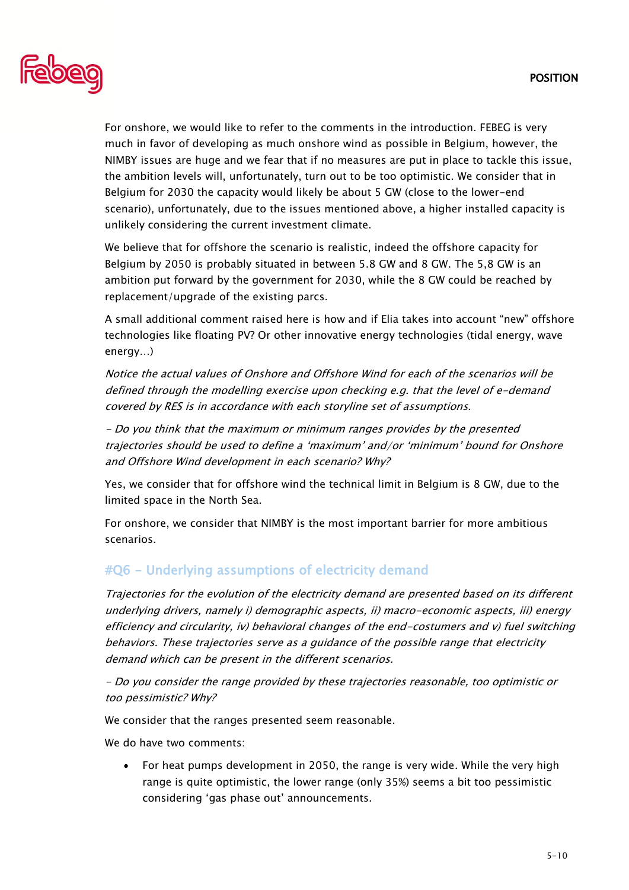

For onshore, we would like to refer to the comments in the introduction. FEBEG is very much in favor of developing as much onshore wind as possible in Belgium, however, the NIMBY issues are huge and we fear that if no measures are put in place to tackle this issue, the ambition levels will, unfortunately, turn out to be too optimistic. We consider that in Belgium for 2030 the capacity would likely be about 5 GW (close to the lower-end scenario), unfortunately, due to the issues mentioned above, a higher installed capacity is unlikely considering the current investment climate.

We believe that for offshore the scenario is realistic, indeed the offshore capacity for Belgium by 2050 is probably situated in between 5.8 GW and 8 GW. The 5,8 GW is an ambition put forward by the government for 2030, while the 8 GW could be reached by replacement/upgrade of the existing parcs.

A small additional comment raised here is how and if Elia takes into account "new" offshore technologies like floating PV? Or other innovative energy technologies (tidal energy, wave energy…)

Notice the actual values of Onshore and Offshore Wind for each of the scenarios will be defined through the modelling exercise upon checking e.g. that the level of e-demand covered by RES is in accordance with each storyline set of assumptions.

- Do you think that the maximum or minimum ranges provides by the presented trajectories should be used to define a 'maximum' and/or 'minimum' bound for Onshore and Offshore Wind development in each scenario? Why?

Yes, we consider that for offshore wind the technical limit in Belgium is 8 GW, due to the limited space in the North Sea.

For onshore, we consider that NIMBY is the most important barrier for more ambitious scenarios.

## #Q6 - Underlying assumptions of electricity demand

Trajectories for the evolution of the electricity demand are presented based on its different underlying drivers, namely i) demographic aspects, ii) macro-economic aspects, iii) energy efficiency and circularity, iv) behavioral changes of the end-costumers and v) fuel switching behaviors. These trajectories serve as a guidance of the possible range that electricity demand which can be present in the different scenarios.

- Do you consider the range provided by these trajectories reasonable, too optimistic or too pessimistic? Why?

We consider that the ranges presented seem reasonable.

We do have two comments:

• For heat pumps development in 2050, the range is very wide. While the very high range is quite optimistic, the lower range (only 35%) seems a bit too pessimistic considering 'gas phase out' announcements.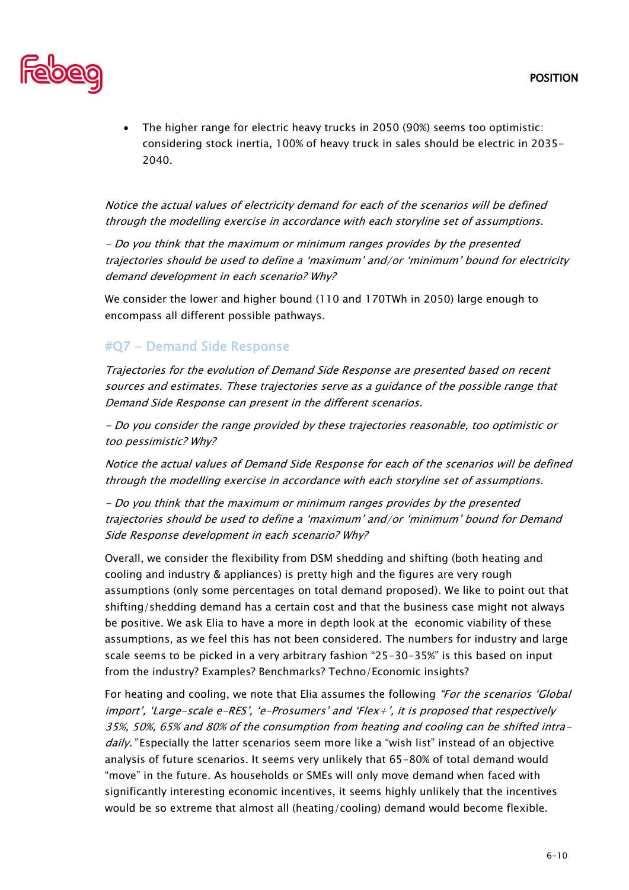

• The higher range for electric heavy trucks in 2050 (90%) seems too optimistic: considering stock inertia, 100% of heavy truck in sales should be electric in 2035- 2040.

Notice the actual values of electricity demand for each of the scenarios will be defined through the modelling exercise in accordance with each storyline set of assumptions.

- Do you think that the maximum or minimum ranges provides by the presented trajectories should be used to define a 'maximum' and/or 'minimum' bound for electricity demand development in each scenario? Why?

We consider the lower and higher bound (110 and 170TWh in 2050) large enough to encompass all different possible pathways.

#### #Q7 - Demand Side Response

Trajectories for the evolution of Demand Side Response are presented based on recent sources and estimates. These trajectories serve as a guidance of the possible range that Demand Side Response can present in the different scenarios.

- Do you consider the range provided by these trajectories reasonable, too optimistic or too pessimistic? Why?

Notice the actual values of Demand Side Response for each of the scenarios will be defined through the modelling exercise in accordance with each storyline set of assumptions.

- Do you think that the maximum or minimum ranges provides by the presented trajectories should be used to define a 'maximum' and/or 'minimum' bound for Demand Side Response development in each scenario? Why?

Overall, we consider the flexibility from DSM shedding and shifting (both heating and cooling and industry & appliances) is pretty high and the figures are very rough assumptions (only some percentages on total demand proposed). We like to point out that shifting/shedding demand has a certain cost and that the business case might not always be positive. We ask Elia to have a more in depth look at the economic viability of these assumptions, as we feel this has not been considered. The numbers for industry and large scale seems to be picked in a very arbitrary fashion "25-30-35%" is this based on input from the industry? Examples? Benchmarks? Techno/Economic insights?

For heating and cooling, we note that Elia assumes the following "For the scenarios 'Global' import', 'Large-scale e-RES', 'e-Prosumers' and 'Flex+', it is proposed that respectively 35%, 50%, 65% and 80% of the consumption from heating and cooling can be shifted intradaily." Especially the latter scenarios seem more like a "wish list" instead of an objective analysis of future scenarios. It seems very unlikely that 65-80% of total demand would "move" in the future. As households or SMEs will only move demand when faced with significantly interesting economic incentives, it seems highly unlikely that the incentives would be so extreme that almost all (heating/cooling) demand would become flexible.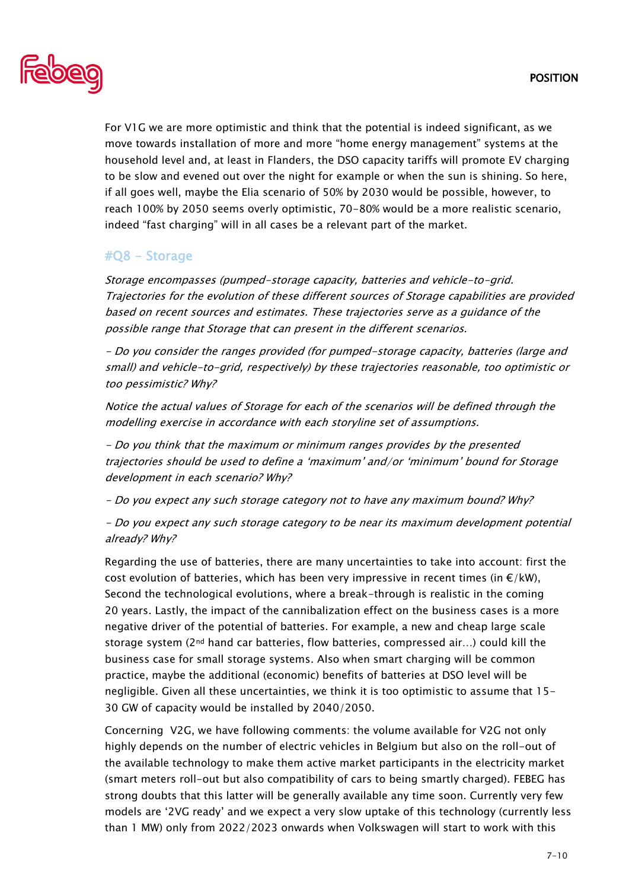

For V1G we are more optimistic and think that the potential is indeed significant, as we move towards installation of more and more "home energy management" systems at the household level and, at least in Flanders, the DSO capacity tariffs will promote EV charging to be slow and evened out over the night for example or when the sun is shining. So here, if all goes well, maybe the Elia scenario of 50% by 2030 would be possible, however, to reach 100% by 2050 seems overly optimistic, 70-80% would be a more realistic scenario, indeed "fast charging" will in all cases be a relevant part of the market.

## #Q8 - Storage

Storage encompasses (pumped-storage capacity, batteries and vehicle-to-grid. Trajectories for the evolution of these different sources of Storage capabilities are provided based on recent sources and estimates. These trajectories serve as a guidance of the possible range that Storage that can present in the different scenarios.

- Do you consider the ranges provided (for pumped-storage capacity, batteries (large and small) and vehicle-to-grid, respectively) by these trajectories reasonable, too optimistic or too pessimistic? Why?

Notice the actual values of Storage for each of the scenarios will be defined through the modelling exercise in accordance with each storyline set of assumptions.

- Do you think that the maximum or minimum ranges provides by the presented trajectories should be used to define a 'maximum' and/or 'minimum' bound for Storage development in each scenario? Why?

- Do you expect any such storage category not to have any maximum bound? Why?

- Do you expect any such storage category to be near its maximum development potential already? Why?

Regarding the use of batteries, there are many uncertainties to take into account: first the cost evolution of batteries, which has been very impressive in recent times (in  $\epsilon/kW$ ), Second the technological evolutions, where a break-through is realistic in the coming 20 years. Lastly, the impact of the cannibalization effect on the business cases is a more negative driver of the potential of batteries. For example, a new and cheap large scale storage system ( $2<sup>nd</sup>$  hand car batteries, flow batteries, compressed air...) could kill the business case for small storage systems. Also when smart charging will be common practice, maybe the additional (economic) benefits of batteries at DSO level will be negligible. Given all these uncertainties, we think it is too optimistic to assume that 15- 30 GW of capacity would be installed by 2040/2050.

Concerning V2G, we have following comments: the volume available for V2G not only highly depends on the number of electric vehicles in Belgium but also on the roll-out of the available technology to make them active market participants in the electricity market (smart meters roll-out but also compatibility of cars to being smartly charged). FEBEG has strong doubts that this latter will be generally available any time soon. Currently very few models are '2VG ready' and we expect a very slow uptake of this technology (currently less than 1 MW) only from 2022/2023 onwards when Volkswagen will start to work with this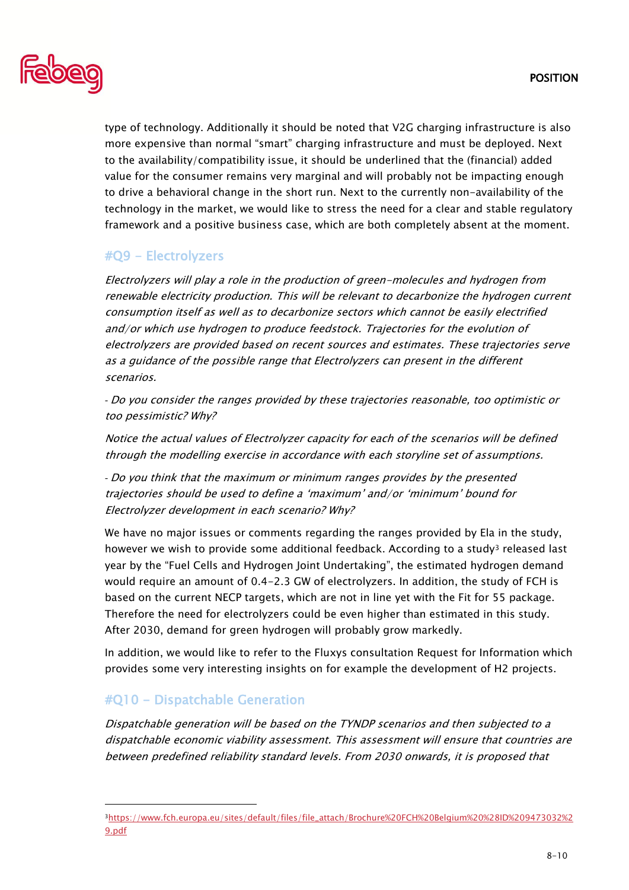

type of technology. Additionally it should be noted that V2G charging infrastructure is also more expensive than normal "smart" charging infrastructure and must be deployed. Next to the availability/compatibility issue, it should be underlined that the (financial) added value for the consumer remains very marginal and will probably not be impacting enough to drive a behavioral change in the short run. Next to the currently non-availability of the technology in the market, we would like to stress the need for a clear and stable regulatory framework and a positive business case, which are both completely absent at the moment.

## #Q9 - Electrolyzers

Electrolyzers will play a role in the production of green-molecules and hydrogen from renewable electricity production. This will be relevant to decarbonize the hydrogen current consumption itself as well as to decarbonize sectors which cannot be easily electrified and/or which use hydrogen to produce feedstock. Trajectories for the evolution of electrolyzers are provided based on recent sources and estimates. These trajectories serve as a guidance of the possible range that Electrolyzers can present in the different scenarios.

*-* Do you consider the ranges provided by these trajectories reasonable, too optimistic or too pessimistic? Why?

Notice the actual values of Electrolyzer capacity for each of the scenarios will be defined through the modelling exercise in accordance with each storyline set of assumptions.

*-* Do you think that the maximum or minimum ranges provides by the presented trajectories should be used to define a 'maximum' and/or 'minimum' bound for Electrolyzer development in each scenario? Why?

We have no major issues or comments regarding the ranges provided by Ela in the study, however we wish to provide some additional feedback. According to a study<sup>3</sup> released last year by the "Fuel Cells and Hydrogen Joint Undertaking", the estimated hydrogen demand would require an amount of 0.4-2.3 GW of electrolyzers. In addition, the study of FCH is based on the current NECP targets, which are not in line yet with the Fit for 55 package. Therefore the need for electrolyzers could be even higher than estimated in this study. After 2030, demand for green hydrogen will probably grow markedly.

In addition, we would like to refer to the Fluxys consultation Request for Information which provides some very interesting insights on for example the development of H2 projects.

# #Q10 - Dispatchable Generation

Dispatchable generation will be based on the TYNDP scenarios and then subjected to a dispatchable economic viability assessment. This assessment will ensure that countries are between predefined reliability standard levels. From 2030 onwards, it is proposed that

<sup>3</sup>[https://www.fch.europa.eu/sites/default/files/file\\_attach/Brochure%20FCH%20Belgium%20%28ID%209473032%2](https://www.fch.europa.eu/sites/default/files/file_attach/Brochure%20FCH%20Belgium%20%28ID%209473032%29.pdf) [9.pdf](https://www.fch.europa.eu/sites/default/files/file_attach/Brochure%20FCH%20Belgium%20%28ID%209473032%29.pdf)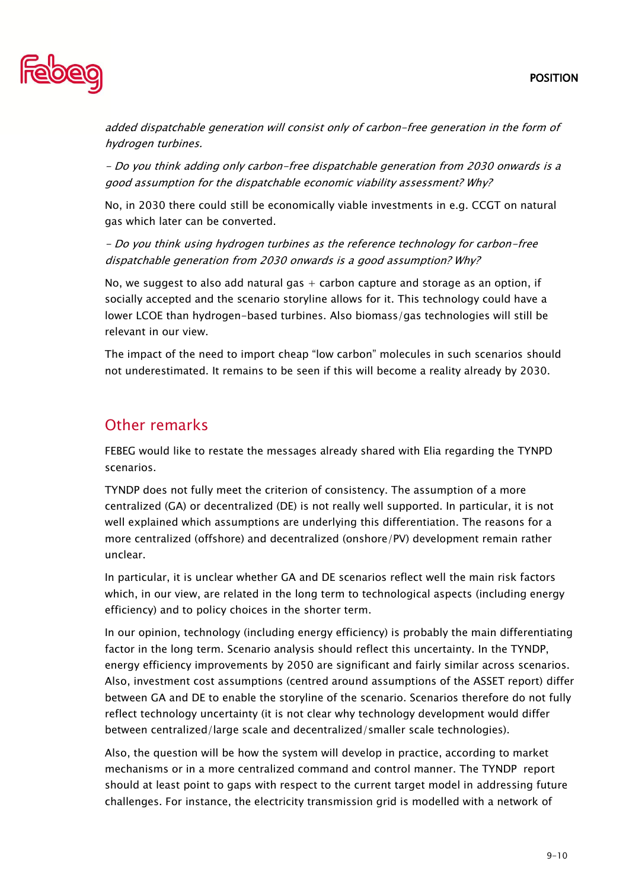

added dispatchable generation will consist only of carbon-free generation in the form of hydrogen turbines.

- Do you think adding only carbon-free dispatchable generation from 2030 onwards is a good assumption for the dispatchable economic viability assessment? Why?

No, in 2030 there could still be economically viable investments in e.g. CCGT on natural gas which later can be converted.

- Do you think using hydrogen turbines as the reference technology for carbon-free dispatchable generation from 2030 onwards is a good assumption? Why?

No, we suggest to also add natural gas  $+$  carbon capture and storage as an option, if socially accepted and the scenario storyline allows for it. This technology could have a lower LCOE than hydrogen-based turbines. Also biomass/gas technologies will still be relevant in our view.

The impact of the need to import cheap "low carbon" molecules in such scenarios should not underestimated. It remains to be seen if this will become a reality already by 2030.

# Other remarks

FEBEG would like to restate the messages already shared with Elia regarding the TYNPD scenarios.

TYNDP does not fully meet the criterion of consistency. The assumption of a more centralized (GA) or decentralized (DE) is not really well supported. In particular, it is not well explained which assumptions are underlying this differentiation. The reasons for a more centralized (offshore) and decentralized (onshore/PV) development remain rather unclear.

In particular, it is unclear whether GA and DE scenarios reflect well the main risk factors which, in our view, are related in the long term to technological aspects (including energy efficiency) and to policy choices in the shorter term.

In our opinion, technology (including energy efficiency) is probably the main differentiating factor in the long term. Scenario analysis should reflect this uncertainty. In the TYNDP, energy efficiency improvements by 2050 are significant and fairly similar across scenarios. Also, investment cost assumptions (centred around assumptions of the ASSET report) differ between GA and DE to enable the storyline of the scenario. Scenarios therefore do not fully reflect technology uncertainty (it is not clear why technology development would differ between centralized/large scale and decentralized/smaller scale technologies).

Also, the question will be how the system will develop in practice, according to market mechanisms or in a more centralized command and control manner. The TYNDP report should at least point to gaps with respect to the current target model in addressing future challenges. For instance, the electricity transmission grid is modelled with a network of